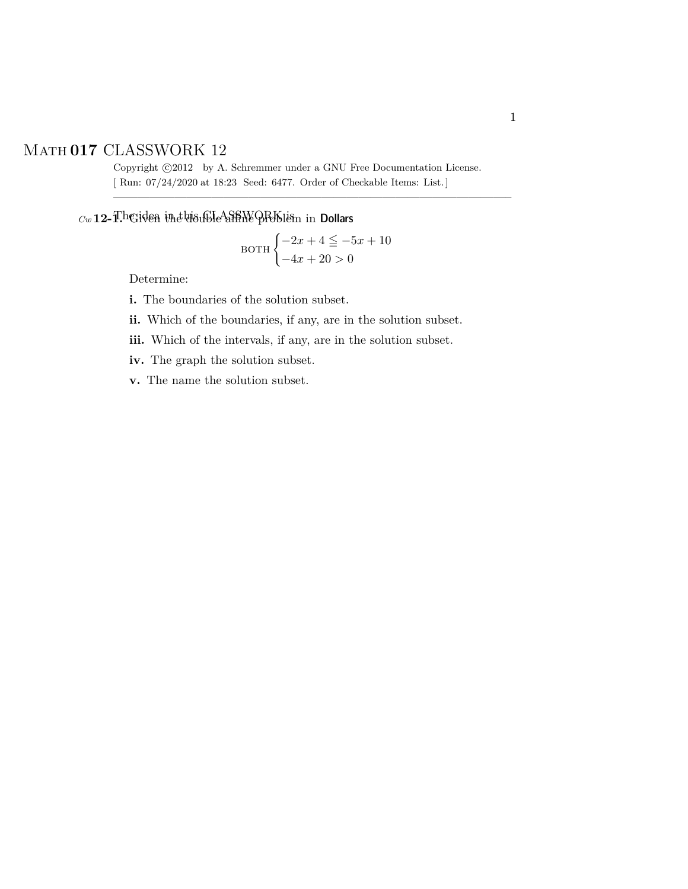## Math **017** CLASSWORK 12

Copyright  $\odot$ 2012 by A. Schremmer under a GNU Free Documentation License. [ Run: 07/24/2020 at 18:23 Seed: 6477. Order of Checkable Items: List.]

## $Cw$  **12-The idea in this GLASSWORK** lism in Dollars

$$
BOTH \begin{cases} -2x + 4 \leq -5x + 10 \\ -4x + 20 > 0 \end{cases}
$$

————————————————————————————————–

Determine:

**i.** The boundaries of the solution subset.

**ii.** Which of the boundaries, if any, are in the solution subset.

**iii.** Which of the intervals, if any, are in the solution subset.

**iv.** The graph the solution subset.

**v.** The name the solution subset.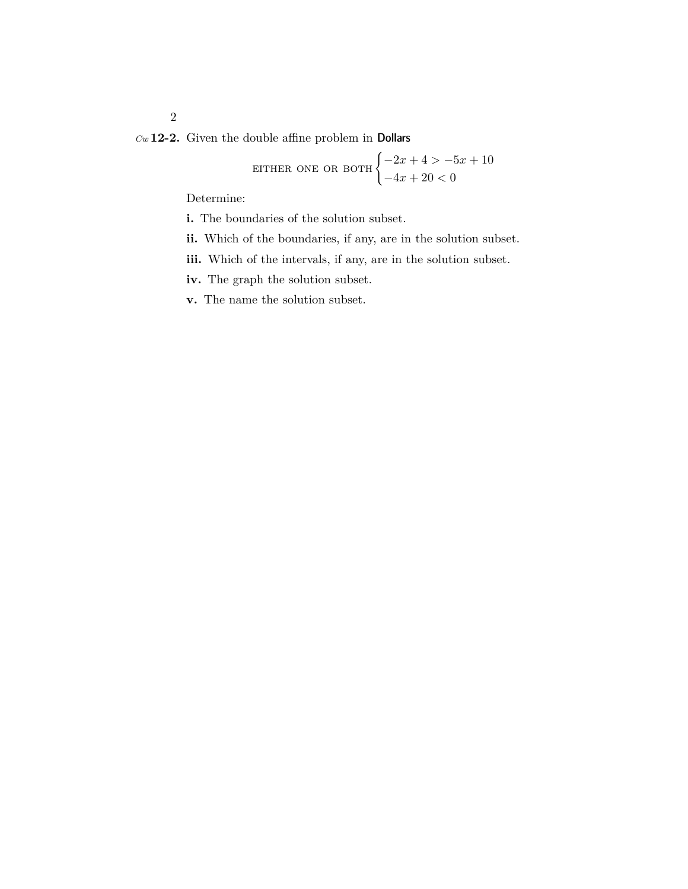*Cw* **12-2.** Given the double affine problem in Dollars

ETHER ONE OR BOTH

\n
$$
\begin{cases}\n-2x + 4 > -5x + 10 \\
-4x + 20 < 0\n\end{cases}
$$

Determine:

**i.** The boundaries of the solution subset.

**ii.** Which of the boundaries, if any, are in the solution subset.

**iii.** Which of the intervals, if any, are in the solution subset.

**iv.** The graph the solution subset.

**v.** The name the solution subset.